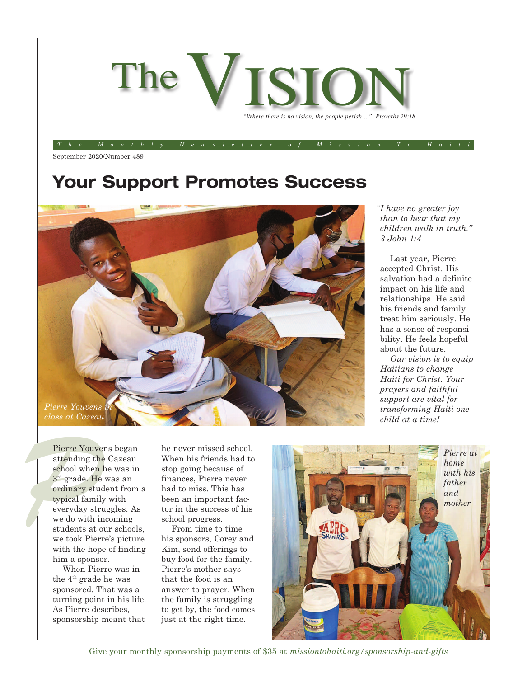

*The Monthly Newsletter of Mission To Haiti*

September 2020/Number 489

## **Your Support Promotes Success**



*I have no greater joy " than to hear that my children walk in truth." 3 John 1:4*

Last year, Pierre accepted Christ. His salvation had a definite impact on his life and relationships. He said his friends and family treat him seriously. He has a sense of responsibility. He feels hopeful about the future.

*Our vision is to equip Haitians to change Haiti for Christ. Your prayers and faithful support are vital for transforming Haiti one child at a time!* 

Pierre Youver<br>
attending the<br>
school when l<br>  $3^{\text{rd}}$  grade. He<br>
ordinary stud<br>
typical family<br>
everyday stru<br>
we do with in Pierre Youvens began attending the Cazeau school when he was in 3rd grade. He was an ordinary student from a typical family with everyday struggles. As we do with incoming students at our schools, we took Pierre's picture with the hope of finding him a sponsor.

> When Pierre was in the 4<sup>th</sup> grade he was sponsored. That was a turning point in his life. As Pierre describes, sponsorship meant that

he never missed school. When his friends had to stop going because of finances, Pierre never had to miss. This has been an important factor in the success of his school progress.

From time to time his sponsors, Corey and Kim, send offerings to buy food for the family. Pierre's mother says that the food is an answer to prayer. When the family is struggling to get by, the food comes just at the right time.



Give your monthly sponsorship payments of \$35 at *missiontohaiti.org/sponsorship-and-gifts*